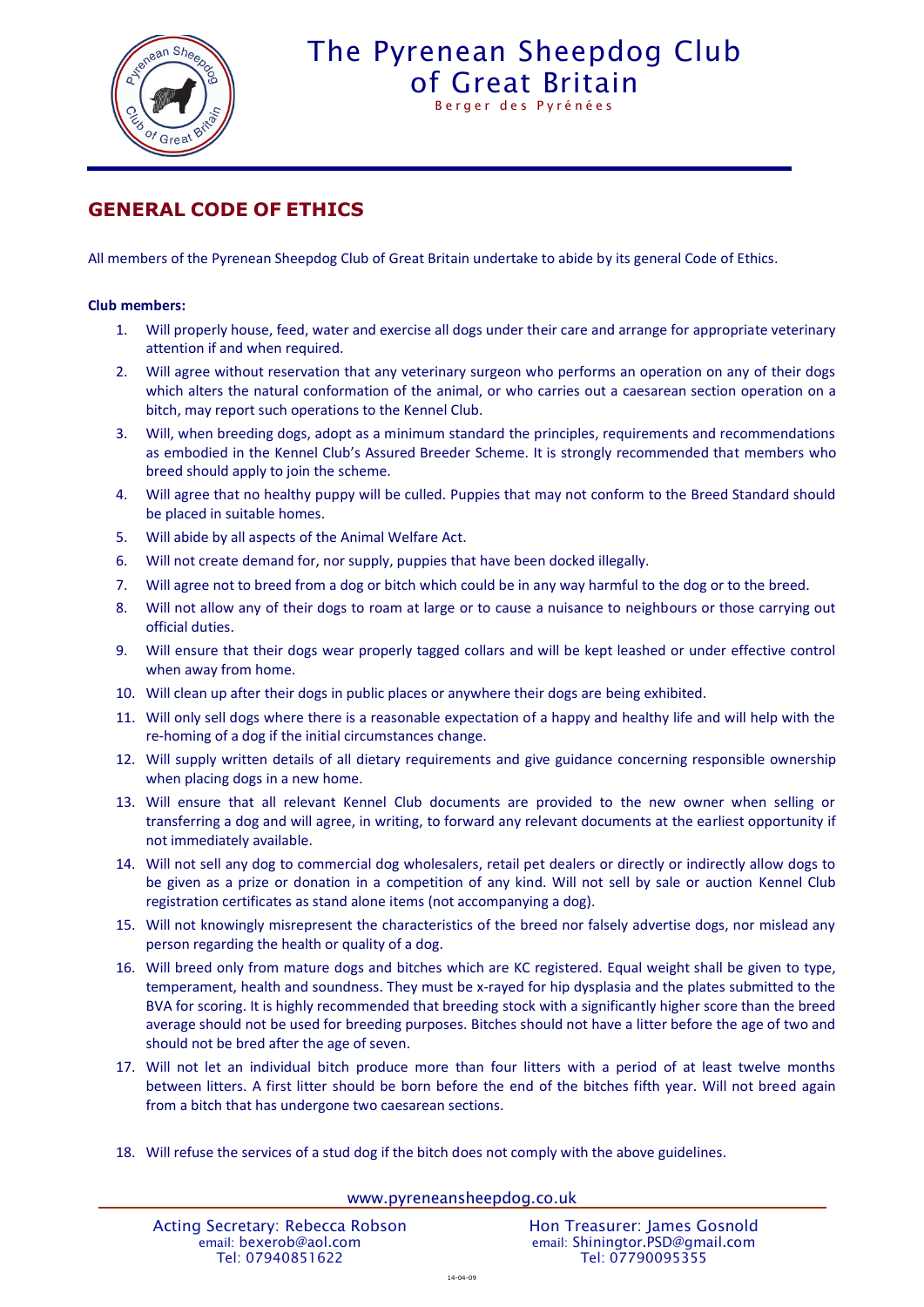

## The Pyrenean Sheepdog Club [of Great Britain](http://www.pyreneansheepdog.co.uk/index.htm)

Berger des Pyrénées

## **GENERAL CODE OF ETHICS**

All members of the Pyrenean Sheepdog Club of Great Britain undertake to abide by its general Code of Ethics.

## **Club members:**

- 1. Will properly house, feed, water and exercise all dogs under their care and arrange for appropriate veterinary attention if and when required.
- 2. Will agree without reservation that any veterinary surgeon who performs an operation on any of their dogs which alters the natural conformation of the animal, or who carries out a caesarean section operation on a bitch, may report such operations to the Kennel Club.
- 3. Will, when breeding dogs, adopt as a minimum standard the principles, requirements and recommendations as embodied in the Kennel Club's Assured Breeder Scheme. It is strongly recommended that members who breed should apply to join the scheme.
- 4. Will agree that no healthy puppy will be culled. Puppies that may not conform to the Breed Standard should be placed in suitable homes.
- 5. Will abide by all aspects of the Animal Welfare Act.
- 6. Will not create demand for, nor supply, puppies that have been docked illegally.
- 7. Will agree not to breed from a dog or bitch which could be in any way harmful to the dog or to the breed.
- 8. Will not allow any of their dogs to roam at large or to cause a nuisance to neighbours or those carrying out official duties.
- 9. Will ensure that their dogs wear properly tagged collars and will be kept leashed or under effective control when away from home.
- 10. Will clean up after their dogs in public places or anywhere their dogs are being exhibited.
- 11. Will only sell dogs where there is a reasonable expectation of a happy and healthy life and will help with the re-homing of a dog if the initial circumstances change.
- 12. Will supply written details of all dietary requirements and give guidance concerning responsible ownership when placing dogs in a new home.
- 13. Will ensure that all relevant Kennel Club documents are provided to the new owner when selling or transferring a dog and will agree, in writing, to forward any relevant documents at the earliest opportunity if not immediately available.
- 14. Will not sell any dog to commercial dog wholesalers, retail pet dealers or directly or indirectly allow dogs to be given as a prize or donation in a competition of any kind. Will not sell by sale or auction Kennel Club registration certificates as stand alone items (not accompanying a dog).
- 15. Will not knowingly misrepresent the characteristics of the breed nor falsely advertise dogs, nor mislead any person regarding the health or quality of a dog.
- 16. Will breed only from mature dogs and bitches which are KC registered. Equal weight shall be given to type, temperament, health and soundness. They must be x-rayed for hip dysplasia and the plates submitted to the BVA for scoring. It is highly recommended that breeding stock with a significantly higher score than the breed average should not be used for breeding purposes. Bitches should not have a litter before the age of two and should not be bred after the age of seven.
- 17. Will not let an individual bitch produce more than four litters with a period of at least twelve months between litters. A first litter should be born before the end of the bitches fifth year. Will not breed again from a bitch that has undergone two caesarean sections.
- 18. Will refuse the services of a stud dog if the bitch does not comply with the above guidelines.

www.pyreneansheepdog.co.uk